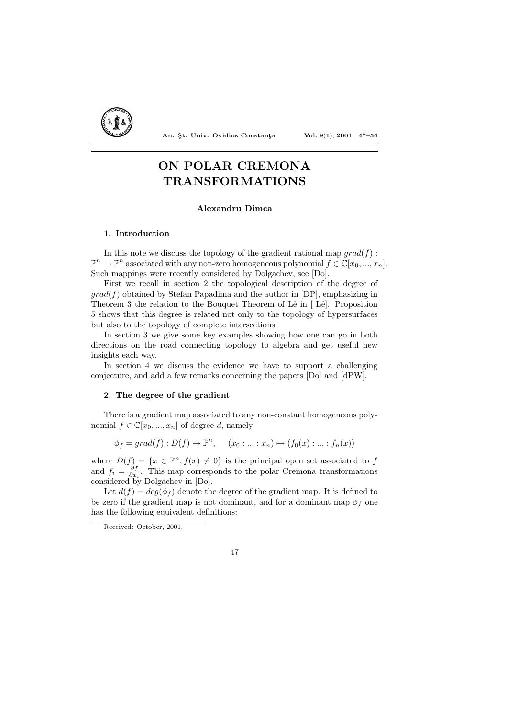

An. Şt. Univ. Ovidius Constanța Vol. 9(1), 2001, 47-54

# ON POLAR CREMONA TRANSFORMATIONS

## Alexandru Dimca

### 1. Introduction

In this note we discuss the topology of the gradient rational map  $qrad(f)$ :  $\mathbb{P}^n \to \mathbb{P}^n$  associated with any non-zero homogeneous polynomial  $f \in \mathbb{C}[x_0, ..., x_n]$ . Such mappings were recently considered by Dolgachev, see [Do].

First we recall in section 2 the topological description of the degree of  $grad(f)$  obtained by Stefan Papadima and the author in [DP], emphasizing in Theorem 3 the relation to the Bouquet Theorem of Lê in  $\lceil$  Lê l. Proposition 5 shows that this degree is related not only to the topology of hypersurfaces but also to the topology of complete intersections.

In section 3 we give some key examples showing how one can go in both directions on the road connecting topology to algebra and get useful new insights each way.

In section 4 we discuss the evidence we have to support a challenging conjecture, and add a few remarks concerning the papers [Do] and [dPW].

# 2. The degree of the gradient

There is a gradient map associated to any non-constant homogeneous polynomial  $f \in \mathbb{C}[x_0, ..., x_n]$  of degree d, namely

 $\phi_f = grad(f) : D(f) \to \mathbb{P}^n, \quad (x_0 : ... : x_n) \mapsto (f_0(x) : ... : f_n(x))$ 

where  $D(f) = \{x \in \mathbb{P}^n; f(x) \neq 0\}$  is the principal open set associated to f and  $f_i = \frac{\partial f}{\partial x_i}$ . This map corresponds to the polar Cremona transformations considered by Dolgachev in [Do].

Let  $d(f) = deg(\phi_f)$  denote the degree of the gradient map. It is defined to be zero if the gradient map is not dominant, and for a dominant map  $\phi_f$  one has the following equivalent definitions:



Received: October, 2001.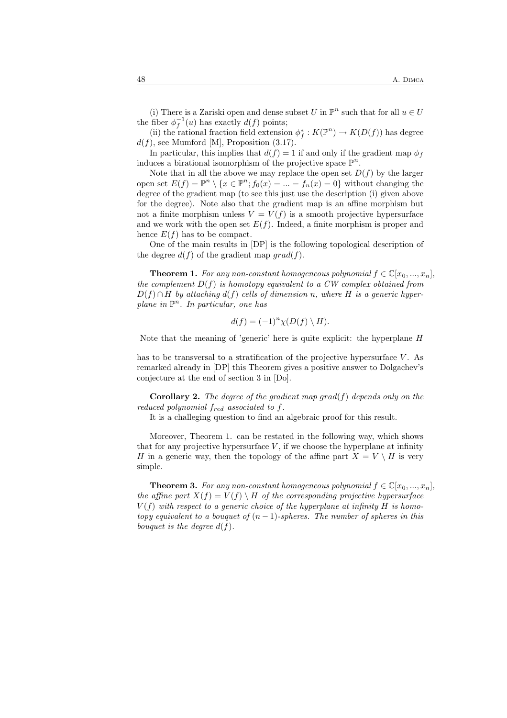(i) There is a Zariski open and dense subset U in  $\mathbb{P}^n$  such that for all  $u \in U$ the fiber  $\phi_f^{-1}(u)$  has exactly  $d(f)$  points;

(ii) the rational fraction field extension  $\phi_f^*: K(\mathbb{P}^n) \to K(D(f))$  has degree  $d(f)$ , see Mumford [M], Proposition (3.17).

In particular, this implies that  $d(f) = 1$  if and only if the gradient map  $\phi_f$ induces a birational isomorphism of the projective space  $\mathbb{P}^n$ .

Note that in all the above we may replace the open set  $D(f)$  by the larger open set  $E(f) = \mathbb{P}^n \setminus \{x \in \mathbb{P}^n; f_0(x) = ... = f_n(x) = 0\}$  without changing the degree of the gradient map (to see this just use the description (i) given above for the degree). Note also that the gradient map is an affine morphism but not a finite morphism unless  $V = V(f)$  is a smooth projective hypersurface and we work with the open set  $E(f)$ . Indeed, a finite morphism is proper and hence  $E(f)$  has to be compact.

One of the main results in [DP] is the following topological description of the degree  $d(f)$  of the gradient map  $grad(f)$ .

**Theorem 1.** For any non-constant homogeneous polynomial  $f \in \mathbb{C}[x_0, ..., x_n]$ , the complement  $D(f)$  is homotopy equivalent to a CW complex obtained from  $D(f) \cap H$  by attaching  $d(f)$  cells of dimension n, where H is a generic hyperplane in  $\mathbb{P}^n$ . In particular, one has

$$
d(f) = (-1)^n \chi(D(f) \setminus H).
$$

Note that the meaning of 'generic' here is quite explicit: the hyperplane H

has to be transversal to a stratification of the projective hypersurface  $V$ . As remarked already in [DP] this Theorem gives a positive answer to Dolgachev's conjecture at the end of section 3 in [Do].

**Corollary 2.** The degree of the gradient map  $\text{grad}(f)$  depends only on the reduced polynomial  $f_{red}$  associated to  $f$ .

It is a challeging question to find an algebraic proof for this result.

Moreover, Theorem 1. can be restated in the following way, which shows that for any projective hypersurface  $V$ , if we choose the hyperplane at infinity H in a generic way, then the topology of the affine part  $X = V \setminus H$  is very simple.

**Theorem 3.** For any non-constant homogeneous polynomial  $f \in \mathbb{C}[x_0, ..., x_n]$ , the affine part  $X(f) = V(f) \setminus H$  of the corresponding projective hypersurface  $V(f)$  with respect to a generic choice of the hyperplane at infinity H is homotopy equivalent to a bouquet of  $(n-1)$ -spheres. The number of spheres in this bouquet is the degree  $d(f)$ .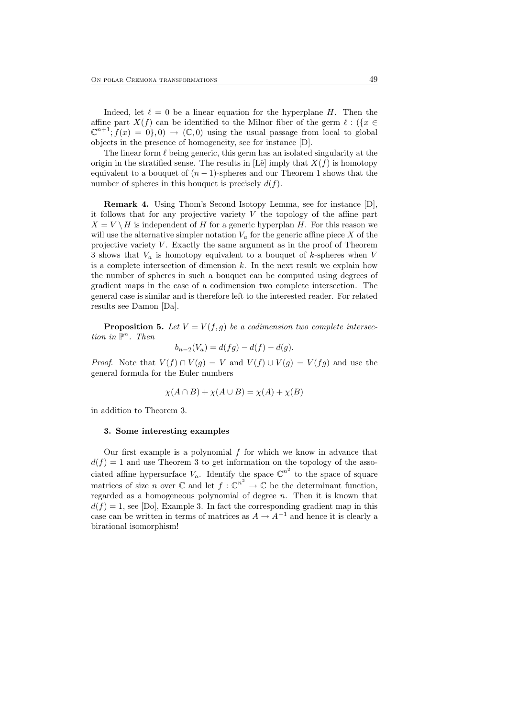Indeed, let  $\ell = 0$  be a linear equation for the hyperplane H. Then the affine part  $X(f)$  can be identified to the Milnor fiber of the germ  $\ell : (\{x \in$  $\mathbb{C}^{n+1}$ ;  $f(x) = 0$ , 0)  $\to (\mathbb{C}, 0)$  using the usual passage from local to global objects in the presence of homogeneity, see for instance [D].

The linear form  $\ell$  being generic, this germ has an isolated singularity at the origin in the stratified sense. The results in [Lê] imply that  $X(f)$  is homotopy equivalent to a bouquet of  $(n - 1)$ -spheres and our Theorem 1 shows that the number of spheres in this bouquet is precisely  $d(f)$ .

Remark 4. Using Thom's Second Isotopy Lemma, see for instance [D], it follows that for any projective variety  $V$  the topology of the affine part  $X = V \setminus H$  is independent of H for a generic hyperplan H. For this reason we will use the alternative simpler notation  $V_a$  for the generic affine piece X of the projective variety  $V$ . Exactly the same argument as in the proof of Theorem 3 shows that  $V_a$  is homotopy equivalent to a bouquet of k-spheres when V is a complete intersection of dimension  $k$ . In the next result we explain how the number of spheres in such a bouquet can be computed using degrees of gradient maps in the case of a codimension two complete intersection. The general case is similar and is therefore left to the interested reader. For related results see Damon [Da].

**Proposition 5.** Let  $V = V(f, g)$  be a codimension two complete intersection in  $\mathbb{P}^n$ . Then

$$
b_{n-2}(V_a) = d(fg) - d(f) - d(g).
$$

*Proof.* Note that  $V(f) \cap V(g) = V$  and  $V(f) \cup V(g) = V(fg)$  and use the general formula for the Euler numbers

$$
\chi(A \cap B) + \chi(A \cup B) = \chi(A) + \chi(B)
$$

in addition to Theorem 3.

#### 3. Some interesting examples

Our first example is a polynomial  $f$  for which we know in advance that  $d(f) = 1$  and use Theorem 3 to get information on the topology of the associated affine hypersurface  $V_a$ . Identify the space  $\mathbb{C}^{n^2}$  to the space of square matrices of size *n* over  $\mathbb C$  and let  $f: \mathbb C^{n^2} \to \mathbb C$  be the determinant function, regarded as a homogeneous polynomial of degree  $n$ . Then it is known that  $d(f) = 1$ , see [Do], Example 3. In fact the corresponding gradient map in this case can be written in terms of matrices as  $A \to A^{-1}$  and hence it is clearly a birational isomorphism!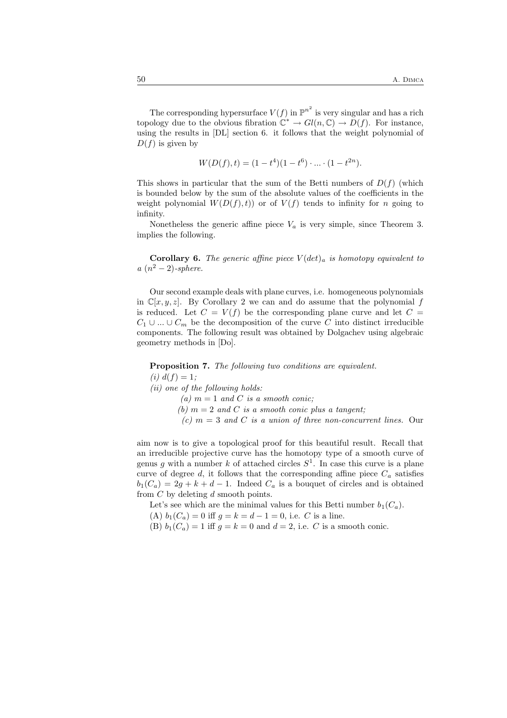The corresponding hypersurface  $V(f)$  in  $\mathbb{P}^{n^2}$  is very singular and has a rich topology due to the obvious fibration  $\overset{\circ}{\mathbb{C}}^* \to Gl(n,\mathbb{C}) \to D(f)$ . For instance, using the results in [DL] section 6. it follows that the weight polynomial of  $D(f)$  is given by

$$
W(D(f), t) = (1 - t4)(1 - t6) \cdot ... \cdot (1 - t2n).
$$

This shows in particular that the sum of the Betti numbers of  $D(f)$  (which is bounded below by the sum of the absolute values of the coefficients in the weight polynomial  $W(D(f),t)$  or of  $V(f)$  tends to infinity for n going to infinity.

Nonetheless the generic affine piece  $V_a$  is very simple, since Theorem 3. implies the following.

**Corollary 6.** The generic affine piece  $V(det)_{a}$  is homotopy equivalent to  $a (n^2 - 2)$ -sphere.

Our second example deals with plane curves, i.e. homogeneous polynomials in  $\mathbb{C}[x, y, z]$ . By Corollary 2 we can and do assume that the polynomial f is reduced. Let  $C = V(f)$  be the corresponding plane curve and let  $C =$  $C_1 \cup ... \cup C_m$  be the decomposition of the curve C into distinct irreducible components. The following result was obtained by Dolgachev using algebraic geometry methods in [Do].

Proposition 7. The following two conditions are equivalent.

(*i*)  $d(f) = 1$ ;

(ii) one of the following holds:

(a)  $m = 1$  and C is a smooth conic;

(b)  $m = 2$  and C is a smooth conic plus a tangent;

(c)  $m = 3$  and C is a union of three non-concurrent lines. Our

aim now is to give a topological proof for this beautiful result. Recall that an irreducible projective curve has the homotopy type of a smooth curve of genus g with a number k of attached circles  $S<sup>1</sup>$ . In case this curve is a plane curve of degree d, it follows that the corresponding affine piece  $C_a$  satisfies  $b_1(C_a) = 2g + k + d - 1$ . Indeed  $C_a$  is a bouquet of circles and is obtained from  $C$  by deleting  $d$  smooth points.

Let's see which are the minimal values for this Betti number  $b_1(C_a)$ .

(A)  $b_1(C_a) = 0$  iff  $g = k = d - 1 = 0$ , i.e. C is a line.

(B)  $b_1(C_a) = 1$  iff  $g = k = 0$  and  $d = 2$ , i.e. C is a smooth conic.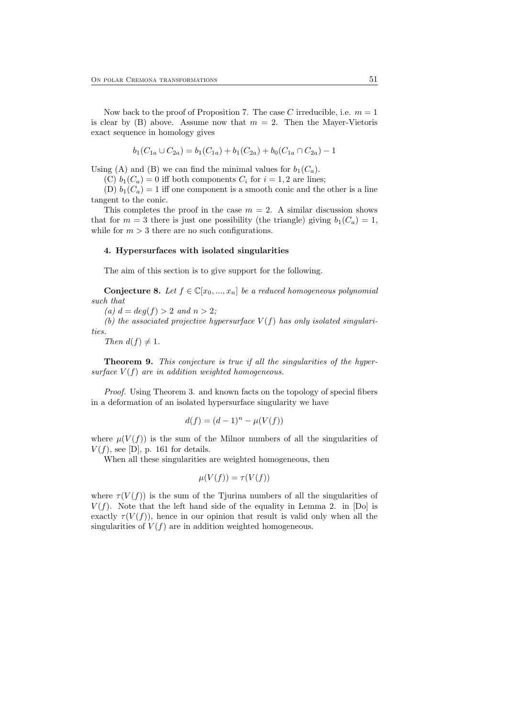Now back to the proof of Proposition 7. The case C irreducible, i.e.  $m = 1$ is clear by (B) above. Assume now that  $m = 2$ . Then the Mayer-Vietoris exact sequence in homology gives

$$
b_1(C_{1a} \cup C_{2a}) = b_1(C_{1a}) + b_1(C_{2a}) + b_0(C_{1a} \cap C_{2a}) - 1
$$

Using (A) and (B) we can find the minimal values for  $b_1(C_a)$ .

(C)  $b_1(C_a) = 0$  iff both components  $C_i$  for  $i = 1, 2$  are lines;

(D)  $b_1(C_a) = 1$  iff one component is a smooth conic and the other is a line tangent to the conic.

This completes the proof in the case  $m = 2$ . A similar discussion shows that for  $m = 3$  there is just one possibility (the triangle) giving  $b_1(C_a) = 1$ , while for  $m > 3$  there are no such configurations.

#### 4. Hypersurfaces with isolated singularities

The aim of this section is to give support for the following.

**Conjecture 8.** Let  $f \in \mathbb{C}[x_0, ..., x_n]$  be a reduced homogeneous polynomial such that

(a)  $d = deg(f) > 2$  and  $n > 2$ ;

(b) the associated projective hypersurface  $V(f)$  has only isolated singularities.

Then  $d(f) \neq 1$ .

Theorem 9. This conjecture is true if all the singularities of the hypersurface  $V(f)$  are in addition weighted homogeneous.

Proof. Using Theorem 3. and known facts on the topology of special fibers in a deformation of an isolated hypersurface singularity we have

$$
d(f) = (d-1)^n - \mu(V(f))
$$

where  $\mu(V(f))$  is the sum of the Milnor numbers of all the singularities of  $V(f)$ , see [D], p. 161 for details.

When all these singularities are weighted homogeneous, then

$$
\mu(V(f)) = \tau(V(f))
$$

where  $\tau(V(f))$  is the sum of the Tjurina numbers of all the singularities of  $V(f)$ . Note that the left hand side of the equality in Lemma 2. in [Do] is exactly  $\tau(V(f))$ , hence in our opinion that result is valid only when all the singularities of  $V(f)$  are in addition weighted homogeneous.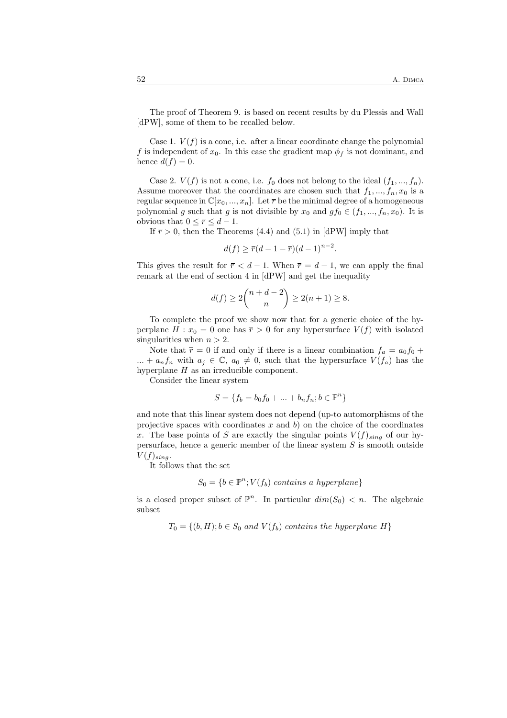The proof of Theorem 9. is based on recent results by du Plessis and Wall [dPW], some of them to be recalled below.

Case 1.  $V(f)$  is a cone, i.e. after a linear coordinate change the polynomial f is independent of  $x_0$ . In this case the gradient map  $\phi_f$  is not dominant, and hence  $d(f) = 0$ .

Case 2.  $V(f)$  is not a cone, i.e.  $f_0$  does not belong to the ideal  $(f_1, ..., f_n)$ . Assume moreover that the coordinates are chosen such that  $f_1, ..., f_n, x_0$  is a regular sequence in  $\mathbb{C}[x_0, ..., x_n]$ . Let  $\overline{r}$  be the minimal degree of a homogeneous polynomial g such that g is not divisible by  $x_0$  and  $gf_0 \in (f_1, ..., f_n, x_0)$ . It is obvious that  $0 \leq \overline{r} \leq d-1$ .

If  $\bar{r} > 0$ , then the Theorems (4.4) and (5.1) in [dPW] imply that

 $d(f) \geq \overline{r}(d-1-\overline{r})(d-1)^{n-2}.$ 

This gives the result for  $\bar{r} < d - 1$ . When  $\bar{r} = d - 1$ , we can apply the final remark at the end of section 4 in [dPW] and get the inequality

$$
d(f) \ge 2\binom{n+d-2}{n} \ge 2(n+1) \ge 8.
$$

To complete the proof we show now that for a generic choice of the hyperplane  $H: x_0 = 0$  one has  $\overline{r} > 0$  for any hypersurface  $V(f)$  with isolated singularities when  $n > 2$ .

Note that  $\bar{r} = 0$  if and only if there is a linear combination  $f_a = a_0 f_0 +$ ... +  $a_n f_n$  with  $a_j \in \mathbb{C}$ ,  $a_0 \neq 0$ , such that the hypersurface  $V(f_a)$  has the hyperplane  $H$  as an irreducible component.

Consider the linear system

$$
S = \{f_b = b_0 f_0 + \dots + b_n f_n; b \in \mathbb{P}^n\}
$$

and note that this linear system does not depend (up-to automorphisms of the projective spaces with coordinates  $x$  and  $b$ ) on the choice of the coordinates x. The base points of S are exactly the singular points  $V(f)_{sing}$  of our hypersurface, hence a generic member of the linear system  $S$  is smooth outside  $V(f)_{sina}$ .

It follows that the set

$$
S_0 = \{b \in \mathbb{P}^n; V(f_b) \text{ contains a hyperplane}\}
$$

is a closed proper subset of  $\mathbb{P}^n$ . In particular  $dim(S_0) < n$ . The algebraic subset

$$
T_0 = \{(b, H); b \in S_0 \text{ and } V(f_b) \text{ contains the hyperplane } H\}
$$